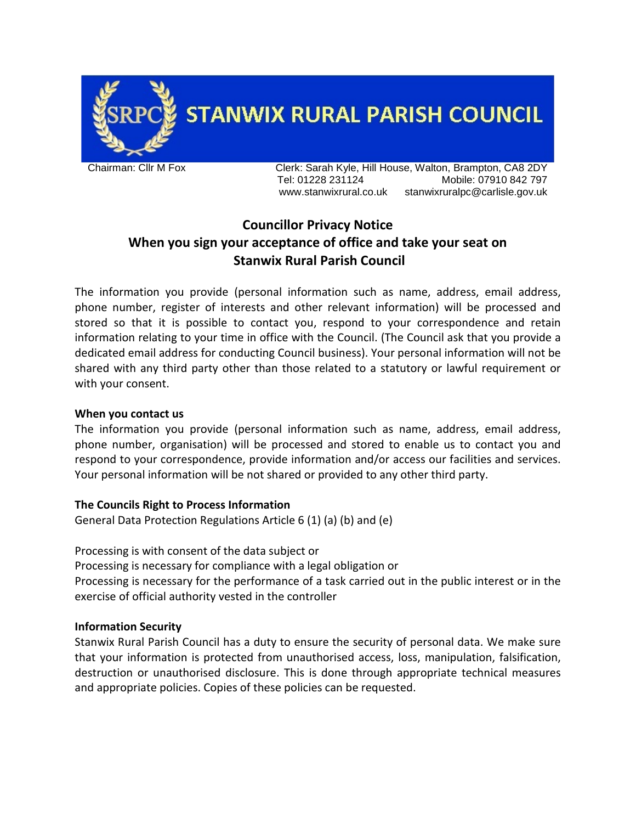

**STANWIX RURAL PARISH COUNCIL** 

Chairman: Cllr M Fox Clerk: Sarah Kyle, Hill House, Walton, Brampton, CA8 2DY Tel: 01228 231124 Mobile: 07910 842 797 www.stanwixrural.co.uk stanwixruralpc@carlisle.gov.uk

# **Councillor Privacy Notice When you sign your acceptance of office and take your seat on Stanwix Rural Parish Council**

The information you provide (personal information such as name, address, email address, phone number, register of interests and other relevant information) will be processed and stored so that it is possible to contact you, respond to your correspondence and retain information relating to your time in office with the Council. (The Council ask that you provide a dedicated email address for conducting Council business). Your personal information will not be shared with any third party other than those related to a statutory or lawful requirement or with your consent.

## **When you contact us**

The information you provide (personal information such as name, address, email address, phone number, organisation) will be processed and stored to enable us to contact you and respond to your correspondence, provide information and/or access our facilities and services. Your personal information will be not shared or provided to any other third party.

## **The Councils Right to Process Information**

General Data Protection Regulations Article 6 (1) (a) (b) and (e)

Processing is with consent of the data subject or Processing is necessary for compliance with a legal obligation or Processing is necessary for the performance of a task carried out in the public interest or in the exercise of official authority vested in the controller

## **Information Security**

Stanwix Rural Parish Council has a duty to ensure the security of personal data. We make sure that your information is protected from unauthorised access, loss, manipulation, falsification, destruction or unauthorised disclosure. This is done through appropriate technical measures and appropriate policies. Copies of these policies can be requested.